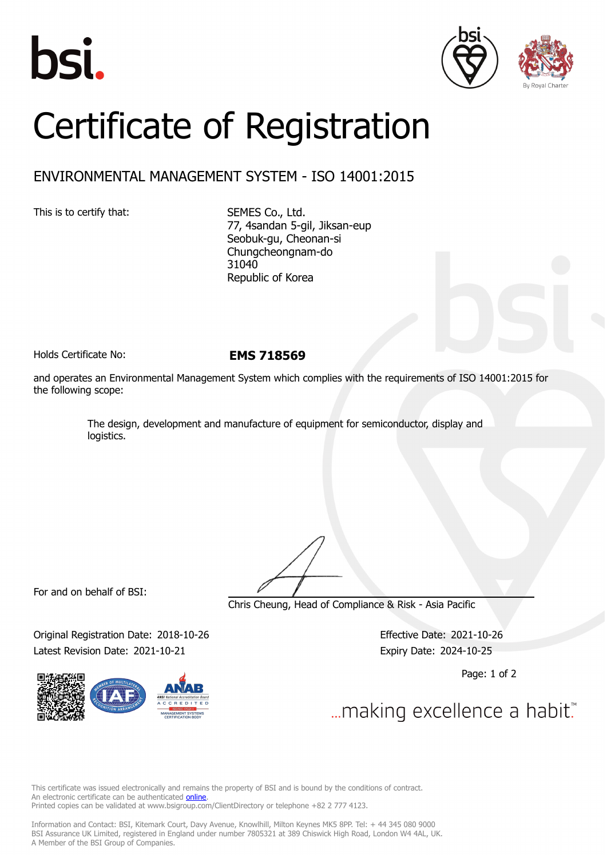





## Certificate of Registration

## ENVIRONMENTAL MANAGEMENT SYSTEM - ISO 14001:2015

This is to certify that: SEMES Co., Ltd.

77, 4sandan 5-gil, Jiksan-eup Seobuk-gu, Cheonan-si Chungcheongnam-do 31040 Republic of Korea

Holds Certificate No: **EMS 718569**

and operates an Environmental Management System which complies with the requirements of ISO 14001:2015 for the following scope:

> The design, development and manufacture of equipment for semiconductor, display and logistics.

For and on behalf of BSI:

Chris Cheung, Head of Compliance & Risk - Asia Pacific

Original Registration Date: 2018-10-26 Effective Date: 2021-10-26 Latest Revision Date: 2021-10-21 Expiry Date: 2024-10-25

Page: 1 of 2

... making excellence a habit."

This certificate was issued electronically and remains the property of BSI and is bound by the conditions of contract. An electronic certificate can be authenticated **[online](https://pgplus.bsigroup.com/CertificateValidation/CertificateValidator.aspx?CertificateNumber=EMS+718569&ReIssueDate=21%2f10%2f2021&Template=korea_en)**. Printed copies can be validated at www.bsigroup.com/ClientDirectory or telephone +82 2 777 4123.

Information and Contact: BSI, Kitemark Court, Davy Avenue, Knowlhill, Milton Keynes MK5 8PP. Tel: + 44 345 080 9000 BSI Assurance UK Limited, registered in England under number 7805321 at 389 Chiswick High Road, London W4 4AL, UK. A Member of the BSI Group of Companies.